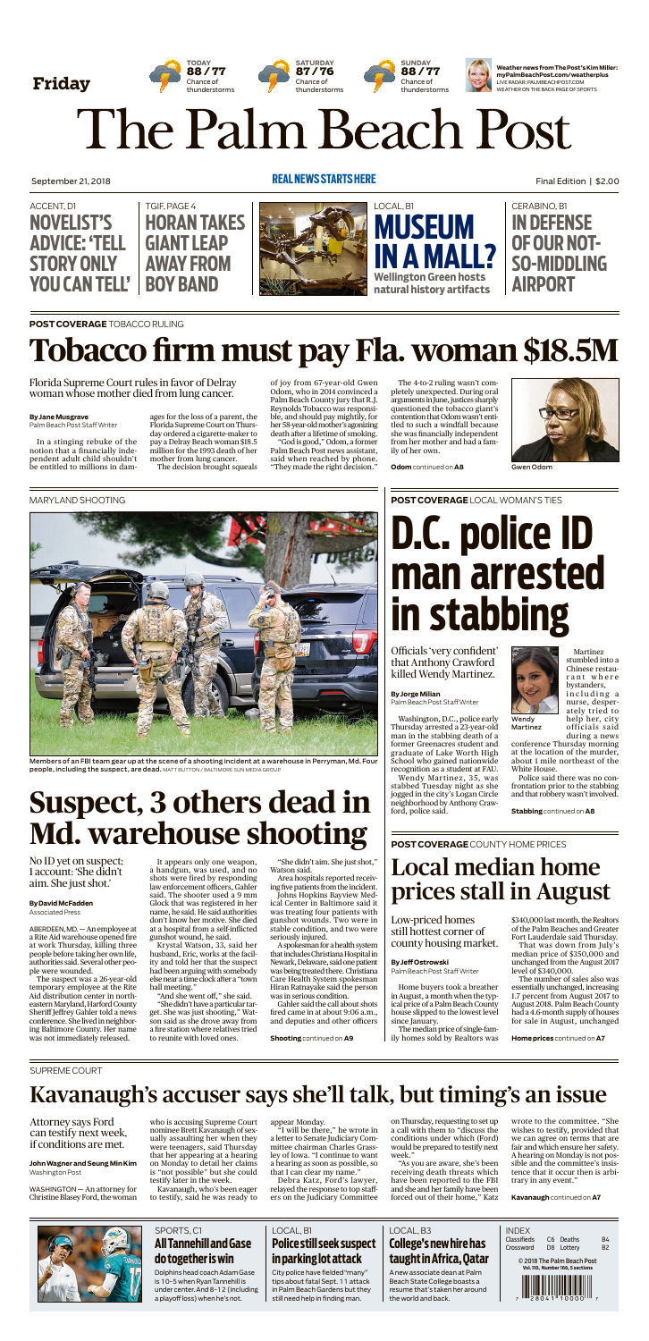#### SPORTS, C1 **AllTannehillandGase dotogetheriswin**

Dolphins head coach Adam Gase is 10-5 when Ryan Tannehill is under center. And 8-12 (including a playoffloss) when he's not.

City police have fielded "many" tips about fatal Sept. 11 attack inPalmBeach Gardens but they still needhelp in finding man.

#### LOCAL, B1

### **Policestillseeksuspect inparkinglotattack**

#### LOCAL, B3

### **College'snewhirehas taughtinAfrica,Qatar**

A new associate dean at Palm Beach State College boasts a resume that's taken her around the world and back.



WASHINGTON — An attorney for Christine Blasey Ford, the woman Final Edition | \$2.00

September 21, 2018



# The Palm Beach Post



on Thursday, requesting to set up a call with them to "discuss the conditions under which (Ford) would be prepared to testify next week.'

#### **REAL NEWSSTARTSHERE**

**JohnWagner andSeung Min Kim** WashingtonPost

who is accusing Supreme Court nominee Brett Kavanaugh of sexually assaulting her when they were teenagers, said Thursday that her appearing at a hearing on Monday to detail her claims is "not possible" but she could testify later in the week.

Kavanaugh, who's been eager to testify, said he was ready to appear Monday.

"I will be there," he wrote in a letter to Senate Judiciary Committee chairman Charles Grassley of Iowa. "I continue to want a hearing as soon as possible, so that I can clear my name."

Debra Katz, Ford's lawyer, relayed the response to top staffers on the Judiciary Committee **ByJorgeMilian** Palm Beach Post Staff Writer

"As you are aware, she's been receiving death threats which have been reported to the FBI and she and her family have been forced out of their home," Katz

wrote to the committee. "She wishes to testify, provided that we can agree on terms that are fair and which ensure her safety. A hearing on Monday is not possible and the committee's insistence that it occur then is arbitrary in any event."

**Kavanaugh**continued on **A7**



The median price of single-family homes sold by Realtors was

# Kavanaugh's accuser says she'll talk, but timing's an issue

\$340,000 last month, the Realtors of the Palm Beaches and Greater Fort Lauderdale said Thursday.

#### SUPREME COURT

Attorney says Ford can testify next week, if conditions are met.

**POSTCOVERAGE**TOBACCO RULING

#### **ByJane Musgrave**

Palm Beach Post Staff Writer

In a stinging rebuke of the notion that a financially independent adult child shouldn't be entitled to millions in dam-

#### **ByDavid McFadden** Associated Press

ages for the loss of a parent, the Florida Supreme Court on Thursday ordered a cigarette-maker to pay a Delray Beach woman \$18.5 million for the 1993 death of her mother from lung cancer. The decision brought squeals

of joy from 67-year-old Gwen Odom, who in 2014 convinced a Palm Beach County jury that R.J. Reynolds Tobacco was responsible, and should pay mightily, for her 58-year-oldmother'sagonizing death after a lifetime of smoking.

"God is good," Odom, a former Palm Beach Post news assistant, said when reached by phone. "They made the right decision."

"She didn't have a particular target. She was just shooting," Watson said as she drove away from a fire station where relatives tried to reunite with loved ones.

The 4-to-2 ruling wasn't completely unexpected. During oral arguments in June, justices sharply questioned the tobacco giant's contention that Odomwasn't entitled to such a windfall because she was financially independent from her mother and had a family of her own.

**Odom**continued on **A8**



# **Tobacco firm must pay Fla. woman \$18.5M**

Florida Supreme Court rules in favor of Delray woman whose mother died from lung cancer.

Gwen Odom

Washington, D.C., police early Thursday arrested a 23-year-old man in the stabbing death of a former Greenacres student and graduate of Lake Worth High School who gained nationwide recognition as a student at FAU. Wendy Martinez, 35, was stabbed Tuesday night as she jogged in the city's Logan Circle neighborhood by Anthony Crawford, police said.



Martinez stumbled into a Chinese restaurant where bystanders, including a nurse, desperately tried to help her, city o fficials said during a news conference Thursday morning at the location of the murder, about 1 mile northeast of the White House. Police said there was no confrontation prior to the stabbing and that robbery wasn't involved. Wendy Martinez



**Stabbing**continued on **A8**

Officials 'very confident' that Anthony Crawford killed Wendy Martinez.

**D.C. police ID man arrested in stabbing**

#### **ByJeffOstrowski**

Palm Beach Post Staff Writer

Home buyers took a breather inAugust, a month when the typical price of a Palm Beach County house slipped to the lowest level since January.

That was down from July's median price of \$350,000 and unchanged from the August 2017 level of \$340,000.

The number of sales also was essentially unchanged, increasing 1.7 percent from August 2017 to August 2018. Palm Beach County had a 4.6-month supply of houses for sale in August, unchanged

**Home prices** continued on **A7**

Low-priced homes still hottest corner of county housing market.

# Local median home prices stall in August

#### **POSTCOVERAGE** COUNTY HOMEPRICES

ABERDEEN, MD. — An employee at a Rite Aid warehouse opened fire at work Thursday, killing three people before taking her own life, authorities said. Several other people were wounded.

The suspect was a 26-year-old temporary employee at the Rite Aid distribution center in northeastern Maryland, Harford County Sheriff Jeffrey Gahler told a news conference. She lived in neighboring Baltimore County. Her name was not immediately released.

It appears only one weapon, a handgun, was used, and no shots were fired by responding law enforcement officers, Gahler said. The shooter used a 9 mm Glock that was registered in her name, he said. He said authorities don't know her motive. She died at a hospital from a self-inflicted gunshot wound, he said.

Krystal Watson, 33, said her husband, Eric, works at the facility and told her that the suspect had been arguing with somebody else near a time clock after a "town hall meeting."

"And she went off," she said.

"She didn't aim. She just shot," Watson said.

Area hospitals reported receiving five patients from the incident. Johns Hopkins Bayview Medical Center in Baltimore said it was treating four patients with gunshot wounds. Two were in stable condition, and two were

seriously injured. A spokesman for a health system that includes Christiana Hospital in Newark, Delaware, said one patient was being treated there. Christiana Care Health System spokesman Hiran Ratnayake said the person was in serious condition.

Gahler said the call about shots fired came in at about 9:06 a.m., and deputies and other officers

**Shooting**continued on **A9**

# **Suspect, 3 others dead in Md. warehouse shooting**

MARYLAND SHOOTING



**POST COVERAGE** LOCAL WOMAN'S TIES

Members of an FBI team gear up at the scene of a shooting incident at a warehouse in Perryman, Md. Four people, including the suspect, are dead. MATT BUTTON / BALTIMORE SUN MEDIA GROUP

No ID yet on suspect; 1 account: 'She didn't aim. She just shot.'